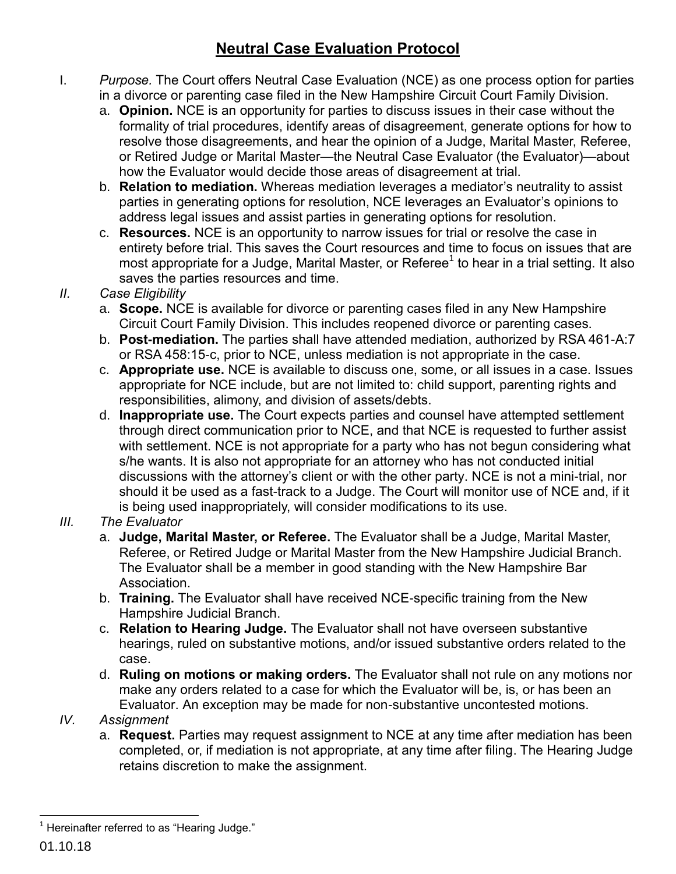## **Neutral Case Evaluation Protocol**

- I. *Purpose.* The Court offers Neutral Case Evaluation (NCE) as one process option for parties in a divorce or parenting case filed in the New Hampshire Circuit Court Family Division.
	- a. **Opinion.** NCE is an opportunity for parties to discuss issues in their case without the formality of trial procedures, identify areas of disagreement, generate options for how to resolve those disagreements, and hear the opinion of a Judge, Marital Master, Referee, or Retired Judge or Marital Master—the Neutral Case Evaluator (the Evaluator)—about how the Evaluator would decide those areas of disagreement at trial.
	- b. **Relation to mediation.** Whereas mediation leverages a mediator's neutrality to assist parties in generating options for resolution, NCE leverages an Evaluator's opinions to address legal issues and assist parties in generating options for resolution.
	- c. **Resources.** NCE is an opportunity to narrow issues for trial or resolve the case in entirety before trial. This saves the Court resources and time to focus on issues that are most appropriate for a Judge, Marital Master, or Referee<sup>1</sup> to hear in a trial setting. It also saves the parties resources and time.
- *II. Case Eligibility*
	- a. **Scope.** NCE is available for divorce or parenting cases filed in any New Hampshire Circuit Court Family Division. This includes reopened divorce or parenting cases.
	- b. **Post-mediation.** The parties shall have attended mediation, authorized by RSA 461-A:7 or RSA 458:15-c, prior to NCE, unless mediation is not appropriate in the case.
	- c. **Appropriate use.** NCE is available to discuss one, some, or all issues in a case. Issues appropriate for NCE include, but are not limited to: child support, parenting rights and responsibilities, alimony, and division of assets/debts.
	- d. **Inappropriate use.** The Court expects parties and counsel have attempted settlement through direct communication prior to NCE, and that NCE is requested to further assist with settlement. NCE is not appropriate for a party who has not begun considering what s/he wants. It is also not appropriate for an attorney who has not conducted initial discussions with the attorney's client or with the other party. NCE is not a mini-trial, nor should it be used as a fast-track to a Judge. The Court will monitor use of NCE and, if it is being used inappropriately, will consider modifications to its use.
- *III. The Evaluator*
	- a. **Judge, Marital Master, or Referee.** The Evaluator shall be a Judge, Marital Master, Referee, or Retired Judge or Marital Master from the New Hampshire Judicial Branch. The Evaluator shall be a member in good standing with the New Hampshire Bar Association.
	- b. **Training.** The Evaluator shall have received NCE-specific training from the New Hampshire Judicial Branch.
	- c. **Relation to Hearing Judge.** The Evaluator shall not have overseen substantive hearings, ruled on substantive motions, and/or issued substantive orders related to the case.
	- d. **Ruling on motions or making orders.** The Evaluator shall not rule on any motions nor make any orders related to a case for which the Evaluator will be, is, or has been an Evaluator. An exception may be made for non-substantive uncontested motions.
- *IV. Assignment*
	- a. **Request.** Parties may request assignment to NCE at any time after mediation has been completed, or, if mediation is not appropriate, at any time after filing. The Hearing Judge retains discretion to make the assignment.

 $\overline{a}$  $1$  Hereinafter referred to as "Hearing Judge."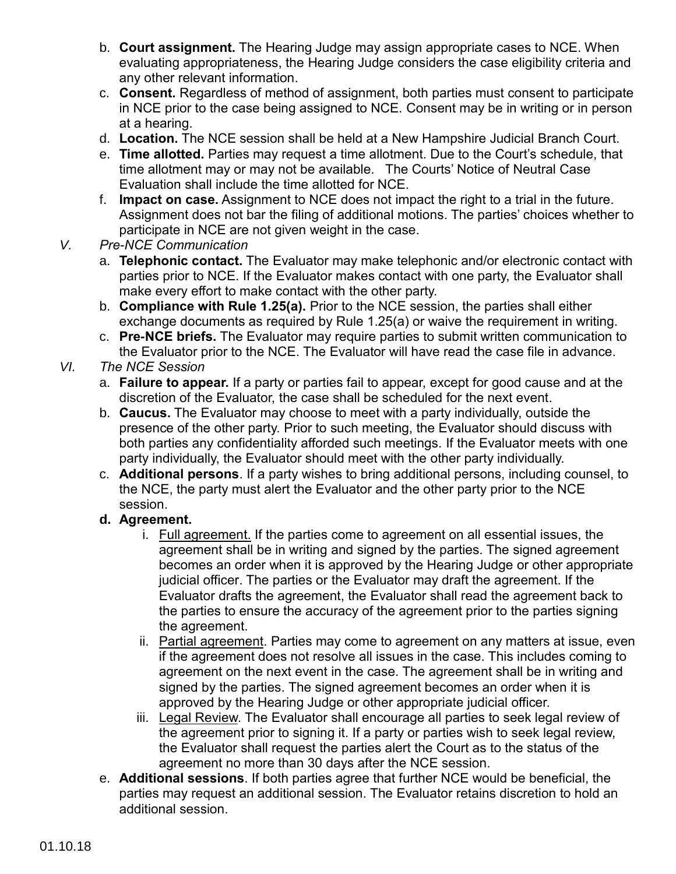- b. **Court assignment.** The Hearing Judge may assign appropriate cases to NCE. When evaluating appropriateness, the Hearing Judge considers the case eligibility criteria and any other relevant information.
- c. **Consent.** Regardless of method of assignment, both parties must consent to participate in NCE prior to the case being assigned to NCE. Consent may be in writing or in person at a hearing.
- d. **Location.** The NCE session shall be held at a New Hampshire Judicial Branch Court.
- e. **Time allotted.** Parties may request a time allotment. Due to the Court's schedule, that time allotment may or may not be available. The Courts' Notice of Neutral Case Evaluation shall include the time allotted for NCE.
- f. **Impact on case.** Assignment to NCE does not impact the right to a trial in the future. Assignment does not bar the filing of additional motions. The parties' choices whether to participate in NCE are not given weight in the case.
- *V. Pre-NCE Communication*
	- a. **Telephonic contact.** The Evaluator may make telephonic and/or electronic contact with parties prior to NCE. If the Evaluator makes contact with one party, the Evaluator shall make every effort to make contact with the other party.
	- b. **Compliance with Rule 1.25(a).** Prior to the NCE session, the parties shall either exchange documents as required by Rule 1.25(a) or waive the requirement in writing.
	- c. **Pre-NCE briefs.** The Evaluator may require parties to submit written communication to the Evaluator prior to the NCE. The Evaluator will have read the case file in advance.

## *VI. The NCE Session*

- a. **Failure to appear.** If a party or parties fail to appear, except for good cause and at the discretion of the Evaluator, the case shall be scheduled for the next event.
- b. **Caucus.** The Evaluator may choose to meet with a party individually, outside the presence of the other party. Prior to such meeting, the Evaluator should discuss with both parties any confidentiality afforded such meetings. If the Evaluator meets with one party individually, the Evaluator should meet with the other party individually.
- c. **Additional persons**. If a party wishes to bring additional persons, including counsel, to the NCE, the party must alert the Evaluator and the other party prior to the NCE session.

## **d. Agreement.**

- i. Full agreement. If the parties come to agreement on all essential issues, the agreement shall be in writing and signed by the parties. The signed agreement becomes an order when it is approved by the Hearing Judge or other appropriate judicial officer. The parties or the Evaluator may draft the agreement. If the Evaluator drafts the agreement, the Evaluator shall read the agreement back to the parties to ensure the accuracy of the agreement prior to the parties signing the agreement.
- ii. Partial agreement. Parties may come to agreement on any matters at issue, even if the agreement does not resolve all issues in the case. This includes coming to agreement on the next event in the case. The agreement shall be in writing and signed by the parties. The signed agreement becomes an order when it is approved by the Hearing Judge or other appropriate judicial officer.
- iii. Legal Review. The Evaluator shall encourage all parties to seek legal review of the agreement prior to signing it. If a party or parties wish to seek legal review, the Evaluator shall request the parties alert the Court as to the status of the agreement no more than 30 days after the NCE session.
- e. **Additional sessions**. If both parties agree that further NCE would be beneficial, the parties may request an additional session. The Evaluator retains discretion to hold an additional session.